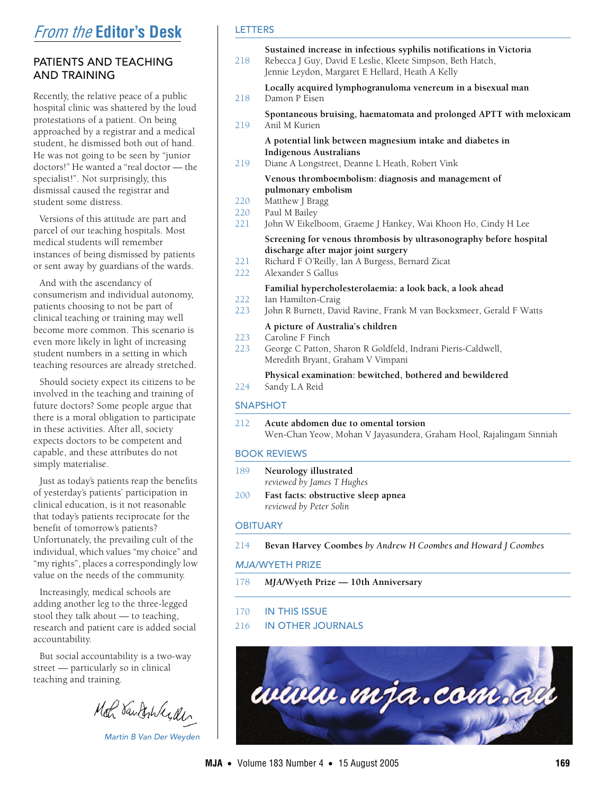| 218               | Sustained increase in infectious syphilis notifications in Victoria<br>Rebecca J Guy, David E Leslie, Kleete Simpson, Beth Hatch,<br>Jennie Leydon, Margaret E Hellard, Heath A Kelly |
|-------------------|---------------------------------------------------------------------------------------------------------------------------------------------------------------------------------------|
| 218               | Locally acquired lymphogranuloma venereum in a bisexual man<br>Damon P Eisen                                                                                                          |
| 219               | Spontaneous bruising, haematomata and prolonged APTT with meloxicam<br>Anil M Kurien                                                                                                  |
| 219               | A potential link between magnesium intake and diabetes in<br><b>Indigenous Australians</b><br>Diane A Longstreet, Deanne L Heath, Robert Vink                                         |
| 220<br>220<br>221 | Venous thromboembolism: diagnosis and management of<br>pulmonary embolism<br>Matthew J Bragg<br>Paul M Bailey<br>John W Eikelboom, Graeme J Hankey, Wai Khoon Ho, Cindy H Lee         |
| 221<br>222        | Screening for venous thrombosis by ultrasonography before hospital<br>discharge after major joint surgery<br>Richard F O'Reilly, Ian A Burgess, Bernard Zicat<br>Alexander S Gallus   |
| 222<br>223        | Familial hypercholesterolaemia: a look back, a look ahead<br>Ian Hamilton-Craig<br>John R Burnett, David Ravine, Frank M van Bockxmeer, Gerald F Watts                                |
| 223<br>223        | A picture of Australia's children<br>Caroline F Finch<br>George C Patton, Sharon R Goldfeld, Indrani Pieris-Caldwell,<br>Meredith Bryant, Graham V Vimpani                            |
|                   | Physical examination: bewitched, bothered and bewildered                                                                                                                              |

224 Sandy LA Reid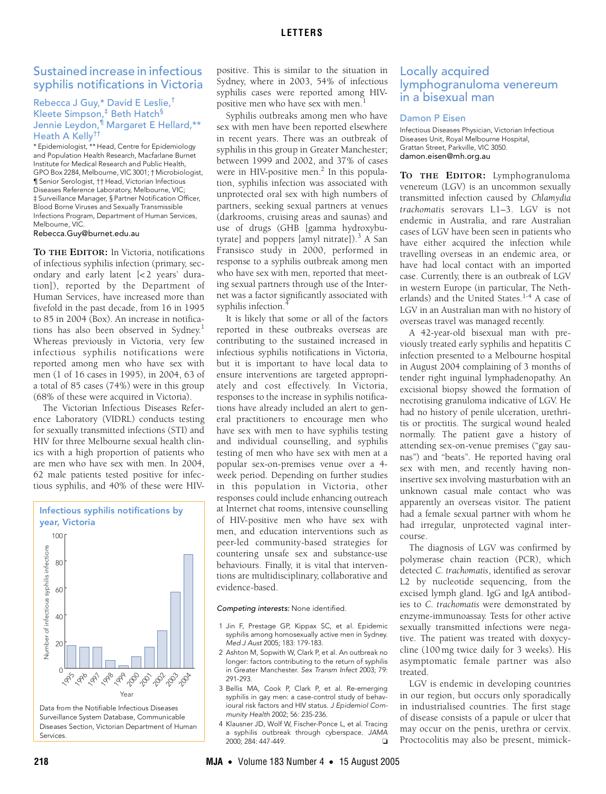# <span id="page-1-1"></span><span id="page-1-0"></span>Sustained increase in infectious syphilis notifications in Victoria

#### Jennie Leydon,¶ Margaret E Hellard,\*\*<br>Jennie Leydon,¶ Margaret E Hellard,\*\* Rebecca J Guy,\* David E Leslie,† Kleete Simpson,<sup>‡</sup> Beth Hatch<sup>§</sup> Heath A Kelly††

1 I<del>C</del>atri A REHy<br>\* Epidemiologist, \*\* Head, Centre for Epidemiology 224 [and Populat](#page-7-1)ion Health Research, Macfarlane Burnet and Fepalation Freath Research, Machanane Barnet<br>Institute for Medical Research and Public Health, 2005 www.mja.com.au GPO Box 2284, Melbourne, VIC 3001; † Microbiologist, 1 Senior Serologist, †† Head, Victorian Infectious Diseases Reference Laboratory, Melbourne, VIC; ‡ Surveillance Manager, § Partner Notification Officer, Blood Borne Viruses and Sexually Transmissible Infections Program, Department of Human Services, Melbourne, VIC.

Rebecca.Guy@burnet.edu.au

**TO THE EDITOR:** In Victoria, notifications of infectious syphilis infection (primary, secondary and early latent [< 2 years' duration]), reported by the Department of Human Services, have increased more than fivefold in the past decade, from 16 in 1995 to 85 in 2004 ([Box](#page-1-2)). An increase in notifica-tions has also been observed in Sydney.<sup>[1](#page-1-3)</sup> Whereas previously in Victoria, very few infectious syphilis notifications were reported among men who have sex with men (1 of 16 cases in 1995), in 2004, 63 of a total of 85 cases (74%) were in this group (68% of these were acquired in Victoria).

The Victorian Infectious Diseases Reference Laboratory (VIDRL) conducts testing for sexually transmitted infections (STI) and HIV for three Melbourne sexual health clinics with a high proportion of patients who are men who have sex with men. In 2004, 62 male patients tested positive for infectious syphilis, and 40% of these were HIV-

<span id="page-1-2"></span>

Data from the Notifiable Infectious Diseases Surveillance System Database, Communicable Diseases Section, Victorian Department of Human **Services** 

positive. This is similar to the situation in Sydney, where in 2003, 54% of infectious syphilis cases were reported among HIVpositive men who have sex with men.

Syphilis outbreaks among men who have sex with men have been reported elsewhere in recent years. There was an outbreak of syphilis in this group in Greater Manchester; between 1999 and 2002, and 37% of cases were in HIV-positive men.<sup>2</sup> In this population, syphilis infection was associated with unprotected oral sex with high numbers of partners, seeking sexual partners at venues (darkrooms, cruising areas and saunas) and use of drugs (GHB [gamma hydroxybu-tyrate] and poppers [amyl nitrate]).<sup>[3](#page-1-5)</sup> A San Fransisco study in 2000, performed in response to a syphilis outbreak among men who have sex with men, reported that meeting sexual partners through use of the Internet was a factor significantly associated with syphilis infection.<sup>[4](#page-1-6)</sup>

It is likely that some or all of the factors reported in these outbreaks overseas are contributing to the sustained increased in infectious syphilis notifications in Victoria, but it is important to have local data to ensure interventions are targeted appropriately and cost effectively. In Victoria, responses to the increase in syphilis notifications have already included an alert to general practitioners to encourage men who have sex with men to have syphilis testing and individual counselling, and syphilis testing of men who have sex with men at a popular sex-on-premises venue over a 4 week period. Depending on further studies in this population in Victoria, other responses could include enhancing outreach at Internet chat rooms, intensive counselling of HIV-positive men who have sex with men, and education interventions such as peer-led community-based strategies for countering unsafe sex and substance-use behaviours. Finally, it is vital that interventions are multidisciplinary, collaborative and evidence-based.

#### Competing interests: None identified.

- <span id="page-1-3"></span>1 Jin F, Prestage GP, Kippax SC, et al. Epidemic syphilis among homosexually active men in Sydney. Med J Aust 2005; 183: 179-183.
- <span id="page-1-4"></span>2 Ashton M, Sopwith W, Clark P, et al. An outbreak no longer: factors contributing to the return of syphilis in Greater Manchester. Sex Transm Infect 2003; 79: 291-293.
- <span id="page-1-5"></span>3 Bellis MA, Cook P, Clark P, et al. Re-emerging syphilis in gay men: a case-control study of behavioural risk factors and HIV status. J Epidemiol Community Health 2002; 56: 235-236.
- <span id="page-1-6"></span>4 Klausner JD, Wolf W, Fischer-Ponce L, et al. Tracing a syphilis outbreak through cyberspace. JAMA 2000; 284: 447-449. ❏

## Locally acquired lymphogranuloma venereum in a bisexual man

### Damon P Eisen

Infectious Diseases Physician, Victorian Infectious Diseases Unit, Royal Melbourne Hospital, Grattan Street, Parkville, VIC 3050. damon.eisen@mh.org.au

**TO THE EDITOR:** Lymphogranuloma venereum (LGV) is an uncommon sexually transmitted infection caused by *Chlamydia trachomatis* serovars L1–3. LGV is not endemic in Australia, and rare Australian cases of LGV have been seen in patients who have either acquired the infection while travelling overseas in an endemic area, or have had local contact with an imported case. Currently, there is an outbreak of LGV in western Europe (in particular, The Neth-erlands) and the United States.<sup>[1-](#page-2-1)[4](#page-2-2)</sup> A case of LGV in an Australian man with no history of overseas travel was managed recently.

A 42-year-old bisexual man with previously treated early syphilis and hepatitis C infection presented to a Melbourne hospital in August 2004 complaining of 3 months of tender right inguinal lymphadenopathy. An excisional biopsy showed the formation of necrotising granuloma indicative of LGV. He had no history of penile ulceration, urethritis or proctitis. The surgical wound healed normally. The patient gave a history of attending sex-on-venue premises ("gay saunas") and "beats". He reported having oral sex with men, and recently having noninsertive sex involving masturbation with an unknown casual male contact who was apparently an overseas visitor. The patient had a female sexual partner with whom he had irregular, unprotected vaginal intercourse.

The diagnosis of LGV was confirmed by polymerase chain reaction (PCR), which detected *C. trachomatis*, identified as serovar L2 by nucleotide sequencing, from the excised lymph gland. IgG and IgA antibodies to *C. trachomatis* were demonstrated by enzyme-immunoassay. Tests for other active sexually transmitted infections were negative. The patient was treated with doxycycline (100 mg twice daily for 3 weeks). His asymptomatic female partner was also treated.

LGV is endemic in developing countries in our region, but occurs only sporadically in industrialised countries. The first stage of disease consists of a papule or ulcer that may occur on the penis, urethra or cervix. Proctocolitis may also be present, mimick-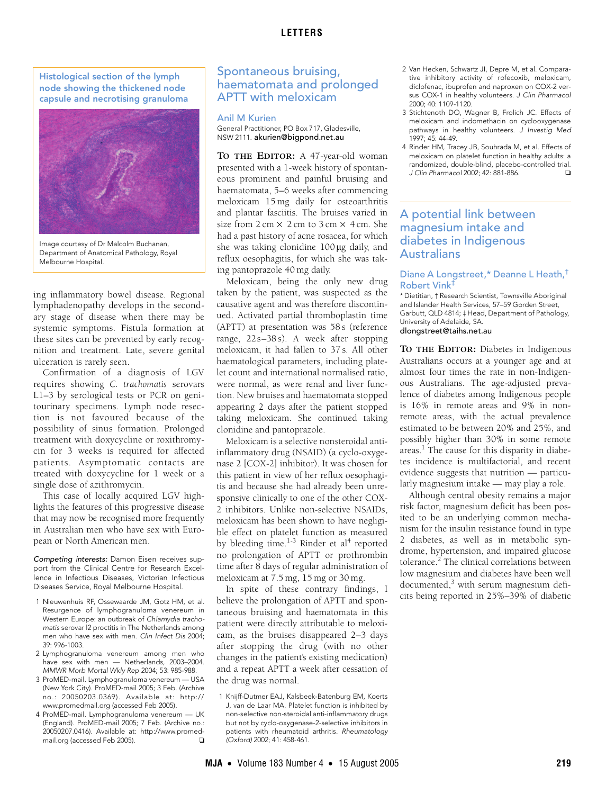<span id="page-2-0"></span>**Histological section of the lymph node showing the thickened node capsule and necrotising granuloma**



Image courtesy of Dr Malcolm Buchanan, Department of Anatomical Pathology, Royal Melbourne Hospital.

ing inflammatory bowel disease. Regional lymphadenopathy develops in the secondary stage of disease when there may be systemic symptoms. Fistula formation at these sites can be prevented by early recognition and treatment. Late, severe genital ulceration is rarely seen.

Confirmation of a diagnosis of LGV requires showing *C. trachomatis* serovars L1–3 by serological tests or PCR on genitourinary specimens. Lymph node resection is not favoured because of the possibility of sinus formation. Prolonged treatment with doxycycline or roxithromycin for 3 weeks is required for affected patients. Asymptomatic contacts are treated with doxycycline for 1 week or a single dose of azithromycin.

This case of locally acquired LGV highlights the features of this progressive disease that may now be recognised more frequently in Australian men who have sex with European or North American men.

Competing interests: Damon Eisen receives support from the Clinical Centre for Research Excellence in Infectious Diseases, Victorian Infectious Diseases Service, Royal Melbourne Hospital.

- <span id="page-2-1"></span>1 Nieuwenhuis RF, Ossewaarde JM, Gotz HM, et al. Resurgence of lymphogranuloma venereum in Western Europe: an outbreak of Chlamydia trachomatis serovar l2 proctitis in The Netherlands among men who have sex with men. Clin Infect Dis 2004; 39: 996-1003.
- 2 Lymphogranuloma venereum among men who have sex with men — Netherlands, 2003–2004. MMWR Morb Mortal Wkly Rep 2004; 53: 985-988.
- 3 ProMED-mail. Lymphogranuloma venereum USA (New York City). ProMED-mail 2005; 3 Feb. (Archive no.: 20050203.0369). Available at: http:// www.promedmail.org (accessed Feb 2005).
- <span id="page-2-2"></span>4 ProMED-mail. Lymphogranuloma venereum — UK (England). ProMED-mail 2005; 7 Feb. (Archive no.: 20050207.0416). Available at: http://www.promedmail.org (accessed Feb 2005). ❏

## Spontaneous bruising, haematomata and prolonged APTT with meloxicam

#### Anil M Kurien

General Practitioner, PO Box 717, Gladesville, NSW 2111. akurien@bigpond.net.au

**TO THE EDITOR:** A 47-year-old woman presented with a 1-week history of spontaneous prominent and painful bruising and haematomata, 5–6 weeks after commencing meloxicam 15 mg daily for osteoarthritis and plantar fasciitis. The bruises varied in size from  $2 \text{ cm} \times 2 \text{ cm}$  to  $3 \text{ cm} \times 4 \text{ cm}$ . She had a past history of acne rosacea, for which she was taking clonidine 100 μg daily, and reflux oesophagitis, for which she was taking pantoprazole 40 mg daily.

Meloxicam, being the only new drug taken by the patient, was suspected as the causative agent and was therefore discontinued. Activated partial thromboplastin time (APTT) at presentation was 58 s (reference range, 22s–38 s). A week after stopping meloxicam, it had fallen to 37 s. All other haematological parameters, including platelet count and international normalised ratio, were normal, as were renal and liver function. New bruises and haematomata stopped appearing 2 days after the patient stopped taking meloxicam. She continued taking clonidine and pantoprazole.

Meloxicam is a selective nonsteroidal antiinflammatory drug (NSAID) (a cyclo-oxygenase 2 [COX-2] inhibitor). It was chosen for this patient in view of her reflux oesophagitis and because she had already been unresponsive clinically to one of the other COX-2 inhibitors. Unlike non-selective NSAIDs, meloxicam has been shown to have negligible effect on platelet function as measured by bleeding time.<sup>[1](#page-2-3)-3</sup> Rinder et al<sup>4</sup> reported no prolongation of APTT or prothrombin time after 8 days of regular administration of meloxicam at 7.5 mg, 15 mg or 30 mg.

In spite of these contrary findings, I believe the prolongation of APTT and spontaneous bruising and haematomata in this patient were directly attributable to meloxicam, as the bruises disappeared 2–3 days after stopping the drug (with no other changes in the patient's existing medication) and a repeat APTT a week after cessation of the drug was normal.

<span id="page-2-3"></span>1 Knijff-Dutmer EAJ, Kalsbeek-Batenburg EM, Koerts J, van de Laar MA. Platelet function is inhibited by non-selective non-steroidal anti-inflammatory drugs but not by cyclo-oxygenase-2-selective inhibitors in patients with rheumatoid arthritis. Rheumatology (Oxford) 2002; 41: 458-461.

- 2 Van Hecken, Schwartz JI, Depre M, et al. Comparative inhibitory activity of rofecoxib, meloxicam, diclofenac, ibuprofen and naproxen on COX-2 versus COX-1 in healthy volunteers. J Clin Pharmacol 2000; 40: 1109-1120.
- <span id="page-2-4"></span>3 Stichtenoth DO, Wagner B, Frolich JC. Effects of meloxicam and indomethacin on cyclooxygenase pathways in healthy volunteers. J Investig Med 1997; 45: 44-49.
- <span id="page-2-5"></span>4 Rinder HM, Tracey JB, Souhrada M, et al. Effects of meloxicam on platelet function in healthy adults: a randomized, double-blind, placebo-controlled trial. J Clin Pharmacol 2002; 42: 881-886. ❏

# A potential link between magnesium intake and diabetes in Indigenous **Australians**

### Diane A Longstreet,\* Deanne L Heath,† Robert Vink‡

\* Dietitian, † Research Scientist, Townsville Aboriginal and Islander Health Services, 57–59 Gorden Street, Garbutt, QLD 4814; ‡ Head, Department of Pathology, University of Adelaide, SA. dlongstreet@taihs.net.au

**TO THE EDITOR:** Diabetes in Indigenous Australians occurs at a younger age and at almost four times the rate in non-Indigenous Australians. The age-adjusted prevalence of diabetes among Indigenous people is 16% in remote areas and 9% in nonremote areas, with the actual prevalence estimated to be between 20% and 25%, and possibly higher than 30% in some remote areas.<sup>1</sup> The cause for this disparity in diabetes incidence is multifactorial, and recent evidence suggests that nutrition — particularly magnesium intake — may play a role.

Although central obesity remains a major risk factor, magnesium deficit has been posited to be an underlying common mechanism for the insulin resistance found in type 2 diabetes, as well as in metabolic syndrome, hypertension, and impaired glucose tolerance.<sup>2</sup> The clinical correlations between low magnesium and diabetes have been well documented,<sup>3</sup> with serum magnesium deficits being reported in 25%–39% of diabetic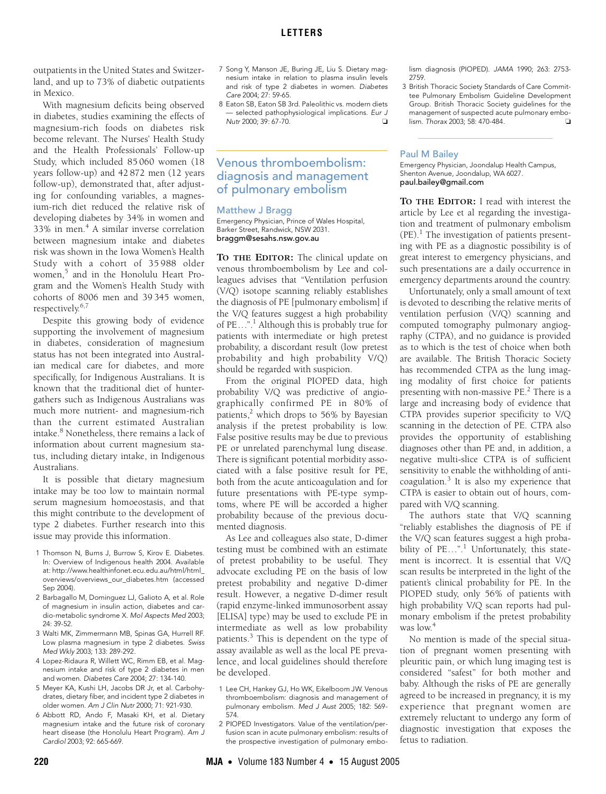<span id="page-3-0"></span>outpatients in the United States and Switzerland, and up to 73% of diabetic outpatients in Mexico.

With magnesium deficits being observed in diabetes, studies examining the effects of magnesium-rich foods on diabetes risk become relevant. The Nurses' Health Study and the Health Professionals' Follow-up Study, which included 85 060 women (18 years follow-up) and 42 872 men (12 years follow-up), demonstrated that, after adjusting for confounding variables, a magnesium-rich diet reduced the relative risk of developing diabetes by 34% in women and 33% in men.<sup>4</sup> A similar inverse correlation between magnesium intake and diabetes risk was shown in the Iowa Women's Health Study with a cohort of 35 988 older women,[5](#page-3-8) and in the Honolulu Heart Program and the Women's Health Study with cohorts of 8006 men and 39 345 women, respectively.[6](#page-3-9),[7](#page-3-10)

Despite this growing body of evidence supporting the involvement of magnesium in diabetes, consideration of magnesium status has not been integrated into Australian medical care for diabetes, and more specifically, for Indigenous Australians. It is known that the traditional diet of huntergathers such as Indigenous Australians was much more nutrient- and magnesium-rich than the current estimated Australian intake.<sup>[8](#page-3-11)</sup> Nonetheless, there remains a lack of information about current magnesium status, including dietary intake, in Indigenous Australians.

It is possible that dietary magnesium intake may be too low to maintain normal serum magnesium homoeostasis, and that this might contribute to the development of type 2 diabetes. Further research into this issue may provide this information.

- <span id="page-3-1"></span>1 Thomson N, Burns J, Burrow S, Kirov E. Diabetes. In: Overview of Indigenous health 2004. Available at: http://www.healthinfonet.ecu.edu.au/html/html\_ overviews/overviews\_our\_diabetes.htm (accessed Sep 2004).
- <span id="page-3-2"></span>2 Barbagallo M, Dominguez LJ, Galioto A, et al. Role of magnesium in insulin action, diabetes and cardio-metabolic syndrome X. Mol Aspects Med 2003; 24: 39-52.
- <span id="page-3-3"></span>3 Walti MK, Zimmermann MB, Spinas GA, Hurrell RF. Low plasma magnesium in type 2 diabetes. Swiss Med Wkly 2003; 133: 289-292.
- <span id="page-3-5"></span>4 Lopez-Ridaura R, Willett WC, Rimm EB, et al. Magnesium intake and risk of type 2 diabetes in men and women. Diabetes Care 2004; 27: 134-140.
- <span id="page-3-8"></span>5 Meyer KA, Kushi LH, Jacobs DR Jr, et al. Carbohydrates, dietary fiber, and incident type 2 diabetes in older women. Am J Clin Nutr 2000; 71: 921-930.
- <span id="page-3-9"></span>6 Abbott RD, Ando F, Masaki KH, et al. Dietary magnesium intake and the future risk of coronary heart disease (the Honolulu Heart Program). Am J Cardiol 2003; 92: 665-669.
- <span id="page-3-10"></span>7 Song Y, Manson JE, Buring JE, Liu S. Dietary magnesium intake in relation to plasma insulin levels and risk of type 2 diabetes in women. Diabetes Care 2004; 27: 59-65.
- <span id="page-3-11"></span>8 Eaton SB, Eaton SB 3rd. Paleolithic vs. modern diets — selected pathophysiological implications. Eur J Nutr 2000; 39: 67-70. ❏

# Venous thromboembolism: diagnosis and management of pulmonary embolism

#### Matthew J Bragg

Emergency Physician, Prince of Wales Hospital, Barker Street, Randwick, NSW 2031. braggm@sesahs.nsw.gov.au

**TO THE EDITOR:** The clinical update on venous thromboembolism by Lee and colleagues advises that "Ventilation perfusion (V/Q) isotope scanning reliably establishes the diagnosis of PE [pulmonary embolism] if the V/Q features suggest a high probability of PE...".<sup>1</sup> Although this is probably true for patients with intermediate or high pretest probability, a discordant result (low pretest probability and high probability V/Q) should be regarded with suspicion.

From the original PIOPED data, high probability V/Q was predictive of angiographically confirmed PE in 80% of patients,<sup>2</sup> which drops to 56% by Bayesian analysis if the pretest probability is low. False positive results may be due to previous PE or unrelated parenchymal lung disease. There is significant potential morbidity associated with a false positive result for PE, both from the acute anticoagulation and for future presentations with PE-type symptoms, where PE will be accorded a higher probability because of the previous documented diagnosis.

As Lee and colleagues also state, D-dimer testing must be combined with an estimate of pretest probability to be useful. They advocate excluding PE on the basis of low pretest probability and negative D-dimer result. However, a negative D-dimer result (rapid enzyme-linked immunosorbent assay [ELISA] type) may be used to exclude PE in intermediate as well as low probability patients.<sup>3</sup> This is dependent on the type of assay available as well as the local PE prevalence, and local guidelines should therefore be developed.

- <span id="page-3-4"></span>1 Lee CH, Hankey GJ, Ho WK, Eikelboom JW. Venous thromboembolism: diagnosis and management of pulmonary embolism. Med J Aust 2005; 182: 569- 574.
- <span id="page-3-6"></span>2 PIOPED Investigators. Value of the ventilation/perfusion scan in acute pulmonary embolism: results of the prospective investigation of pulmonary embo-

lism diagnosis (PIOPED). JAMA 1990; 263: 2753- 2759.

<span id="page-3-7"></span>3 British Thoracic Society Standards of Care Committee Pulmonary Embolism Guideline Development Group. British Thoracic Society guidelines for the management of suspected acute pulmonary embolism. Thorax 2003; 58: 470-484. ❏

#### Paul M Bailey

Emergency Physician, Joondalup Health Campus, Shenton Avenue, Joondalup, WA 6027. paul.bailey@gmail.com

**TO THE EDITOR:** I read with interest the article by Lee et al regarding the investigation and treatment of pulmonary embolism  $(PE).$ <sup>[1](#page-4-1)</sup> The investigation of patients presenting with PE as a diagnostic possibility is of great interest to emergency physicians, and such presentations are a daily occurrence in emergency departments around the country.

Unfortunately, only a small amount of text is devoted to describing the relative merits of ventilation perfusion (V/Q) scanning and computed tomography pulmonary angiography (CTPA), and no guidance is provided as to which is the test of choice when both are available. The British Thoracic Society has recommended CTPA as the lung imaging modality of first choice for patients presenting with non-massive PE.<sup>[2](#page-4-2)</sup> There is a large and increasing body of evidence that CTPA provides superior specificity to V/Q scanning in the detection of PE. CTPA also provides the opportunity of establishing diagnoses other than PE and, in addition, a negative multi-slice CTPA is of sufficient sensitivity to enable the withholding of anti-coagulation.<sup>[3](#page-4-3)</sup> It is also my experience that CTPA is easier to obtain out of hours, compared with V/Q scanning.

The authors state that V/Q scanning "reliably establishes the diagnosis of PE if the V/Q scan features suggest a high probability of PE...".<sup>1</sup> Unfortunately, this statement is incorrect. It is essential that V/Q scan results be interpreted in the light of the patient's clinical probability for PE. In the PIOPED study, only 56% of patients with high probability V/Q scan reports had pulmonary embolism if the pretest probability was low.<sup>[4](#page-4-4)</sup>

No mention is made of the special situation of pregnant women presenting with pleuritic pain, or which lung imaging test is considered "safest" for both mother and baby. Although the risks of PE are generally agreed to be increased in pregnancy, it is my experience that pregnant women are extremely reluctant to undergo any form of diagnostic investigation that exposes the fetus to radiation.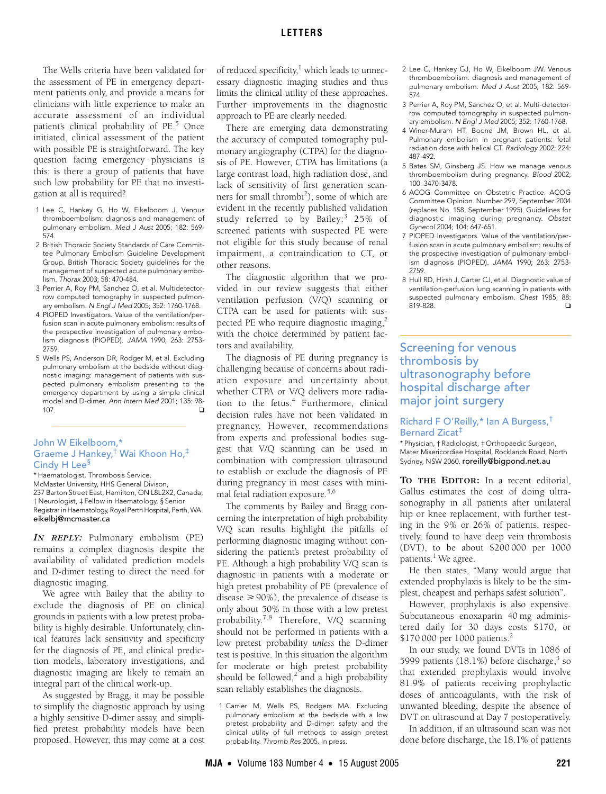<span id="page-4-0"></span>The Wells criteria have been validated for the assessment of PE in emergency department patients only, and provide a means for clinicians with little experience to make an accurate assessment of an individual patient's clinical probability of PE.<sup>[5](#page-4-5)</sup> Once initiated, clinical assessment of the patient with possible PE is straightforward. The key question facing emergency physicians is this: is there a group of patients that have such low probability for PE that no investigation at all is required?

- <span id="page-4-1"></span>1 Lee C, Hankey G, Ho W, Eikelboom J. Venous thromboembolism: diagnosis and management of pulmonary embolism. Med J Aust 2005; 182: 569- 574.
- <span id="page-4-2"></span>2 British Thoracic Society Standards of Care Committee Pulmonary Embolism Guideline Development Group. British Thoracic Society guidelines for the management of suspected acute pulmonary embolism. Thorax 2003; 58: 470-484.
- <span id="page-4-3"></span>3 Perrier A, Roy PM, Sanchez O, et al. Multidetectorrow computed tomography in suspected pulmonary embolism. N Engl J Med 2005; 352: 1760-1768.
- <span id="page-4-4"></span>4 PIOPED Investigators. Value of the ventilation/perfusion scan in acute pulmonary embolism: results of the prospective investigation of pulmonary embolism diagnosis (PIOPED). JAMA 1990; 263: 2753- 2759.
- <span id="page-4-5"></span>5 Wells PS, Anderson DR, Rodger M, et al. Excluding pulmonary embolism at the bedside without diagnostic imaging: management of patients with suspected pulmonary embolism presenting to the emergency department by using a simple clinical model and D-dimer. Ann Intern Med 2001; 135: 98-  $107.$

### John W Eikelboom,\* Graeme J Hankey,† Wai Khoon Ho,‡ Cindy H Lee§

\* Haematologist, Thrombosis Service, McMaster University, HHS General Divison, 237 Barton Street East, Hamilton, ON L8L2X2, Canada; † Neurologist, ‡ Fellow in Haematology, § Senior Registrar in Haematology, Royal Perth Hospital, Perth, WA. eikelbj@mcmaster.ca

*IN REPLY:* Pulmonary embolism (PE) remains a complex diagnosis despite the availability of validated prediction models and D-dimer testing to direct the need for diagnostic imaging.

We agree with Bailey that the ability to exclude the diagnosis of PE on clinical grounds in patients with a low pretest probability is highly desirable. Unfortunately, clinical features lack sensitivity and specificity for the diagnosis of PE, and clinical prediction models, laboratory investigations, and diagnostic imaging are likely to remain an integral part of the clinical work-up.

As suggested by Bragg, it may be possible to simplify the diagnostic approach by using a highly sensitive D-dimer assay, and simplified pretest probability models have been proposed. However, this may come at a cost

of reduced specificity,<sup>1</sup> which leads to unnecessary diagnostic imaging studies and thus limits the clinical utility of these approaches. Further improvements in the diagnostic approach to PE are clearly needed.

There are emerging data demonstrating the accuracy of computed tomography pulmonary angiography (CTPA) for the diagnosis of PE. However, CTPA has limitations (a large contrast load, high radiation dose, and lack of sensitivity of first generation scan-ners for small thrombi<sup>[2](#page-4-7)</sup>), some of which are evident in the recently published validation study referred to by Bailey:<sup>[3](#page-4-8)</sup> 25% of screened patients with suspected PE were not eligible for this study because of renal impairment, a contraindication to CT, or other reasons.

The diagnostic algorithm that we provided in our review suggests that either ventilation perfusion (V/Q) scanning or CTPA can be used for patients with sus-pected PE who require diagnostic imaging,<sup>[2](#page-4-7)</sup> with the choice determined by patient factors and availability.

The diagnosis of PE during pregnancy is challenging because of concerns about radiation exposure and uncertainty about whether CTPA or V/Q delivers more radia-tion to the fetus.<sup>[4](#page-4-9)</sup> Furthermore, clinical decision rules have not been validated in pregnancy. However, recommendations from experts and professional bodies suggest that V/Q scanning can be used in combination with compression ultrasound to establish or exclude the diagnosis of PE during pregnancy in most cases with minimal fetal radiation exposure.[5](#page-4-10)[,6](#page-4-11)

The comments by Bailey and Bragg concerning the interpretation of high probability V/Q scan results highlight the pitfalls of performing diagnostic imaging without considering the patient's pretest probability of PE. Although a high probability V/Q scan is diagnostic in patients with a moderate or high pretest probability of PE (prevalence of disease  $\geq 90\%$ ), the prevalence of disease is only about 50% in those with a low pretest probability.[7](#page-4-12),[8](#page-4-13) Therefore, V/Q scanning should not be performed in patients with a low pretest probability *unless* the D-dimer test is positive. In this situation the algorithm for moderate or high pretest probability should be followed, $2$  and a high probability scan reliably establishes the diagnosis.

<span id="page-4-6"></span>1 Carrier M, Wells PS, Rodgers MA. Excluding pulmonary embolism at the bedside with a low pretest probability and D-dimer: safety and the clinical utility of full methods to assign pretest probability. Thromb Res 2005. In press.

- <span id="page-4-7"></span>2 Lee C, Hankey GJ, Ho W, Eikelboom JW. Venous thromboembolism: diagnosis and management of pulmonary embolism. Med J Aust 2005; 182: 569- 574.
- <span id="page-4-8"></span>3 Perrier A, Roy PM, Sanchez O, et al. Multi-detectorrow computed tomography in suspected pulmonary embolism. N Engl J Med 2005; 352: 1760-1768.
- <span id="page-4-9"></span>4 Winer-Muram HT, Boone JM, Brown HL, et al. Pulmonary embolism in pregnant patients: fetal radiation dose with helical CT. Radiology 2002; 224: 487-492.
- <span id="page-4-10"></span>5 Bates SM, Ginsberg JS. How we manage venous thromboembolism during pregnancy. Blood 2002; 100: 3470-3478.
- <span id="page-4-11"></span>6 ACOG Committee on Obstetric Practice. ACOG Committee Opinion. Number 299, September 2004 (replaces No. 158, September 1995). Guidelines for diagnostic imaging during pregnancy. Obstet Gynecol 2004; 104: 647-651.
- <span id="page-4-12"></span>7 PIOPED Investigators. Value of the ventilation/perfusion scan in acute pulmonary embolism: results of the prospective investigation of pulmonary embolism diagnosis (PIOPED). JAMA 1990; 263: 2753- 2759.
- <span id="page-4-13"></span>8 Hull RD, Hirsh J, Carter CJ, et al. Diagnostic value of ventilation-perfusion lung scanning in patients with suspected pulmonary embolism. Chest 1985; 88: 819-828. ❏

# Screening for venous thrombosis by ultrasonography before hospital discharge after major joint surgery

## Richard F O'Reilly,\* Ian A Burgess,† Bernard Zicat‡

\* Physician, † Radiologist, ‡ Orthopaedic Surgeon, Mater Misericordiae Hospital, Rocklands Road, North Sydney, NSW 2060. roreilly@bigpond.net.au

**TO THE EDITOR:** In a recent editorial, Gallus estimates the cost of doing ultrasonography in all patients after unilateral hip or knee replacement, with further testing in the 9% or 26% of patients, respectively, found to have deep vein thrombosis (DVT), to be about \$200 000 per 1000 patients. $<sup>1</sup>$  We agree.</sup>

He then states, "Many would argue that extended prophylaxis is likely to be the simplest, cheapest and perhaps safest solution".

However, prophylaxis is also expensive. Subcutaneous enoxaparin 40 mg administered daily for 30 days costs \$170, or \$170 000 per 1000 patients.<sup>[2](#page-5-2)</sup>

In our study, we found DVTs in 1086 of 5999 patients  $(18.1\%)$  before discharge,<sup>3</sup> so that extended prophylaxis would involve 81.9% of patients receiving prophylactic doses of anticoagulants, with the risk of unwanted bleeding, despite the absence of DVT on ultrasound at Day 7 postoperatively.

In addition, if an ultrasound scan was not done before discharge, the 18.1% of patients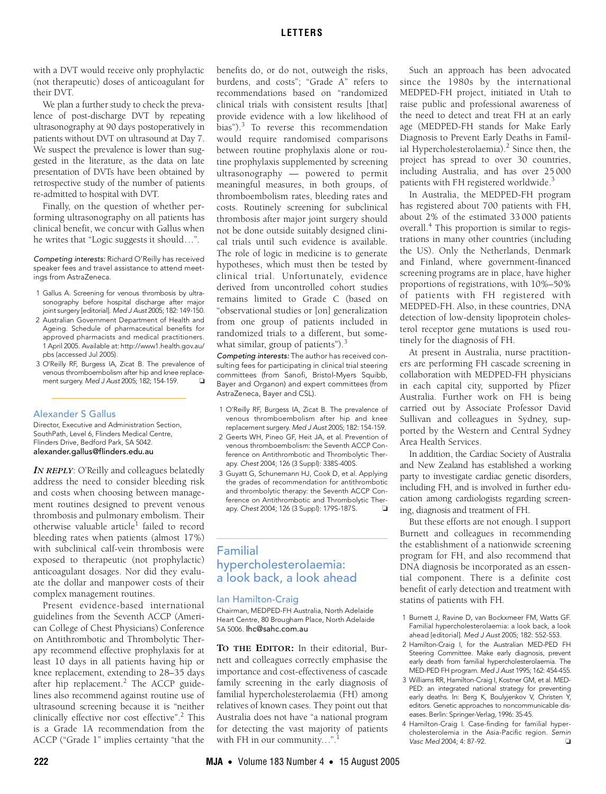<span id="page-5-0"></span>with a DVT would receive only prophylactic (not therapeutic) doses of anticoagulant for their DVT.

We plan a further study to check the prevalence of post-discharge DVT by repeating ultrasonography at 90 days postoperatively in patients without DVT on ultrasound at Day 7. We suspect the prevalence is lower than suggested in the literature, as the data on late presentation of DVTs have been obtained by retrospective study of the number of patients re-admitted to hospital with DVT.

Finally, on the question of whether performing ultrasonography on all patients has clinical benefit, we concur with Gallus when he writes that "Logic suggests it should...".

Competing interests: Richard O'Reilly has received speaker fees and travel assistance to attend meetings from AstraZeneca.

- <span id="page-5-1"></span>1 Gallus A. Screening for venous thrombosis by ultrasonography before hospital discharge after major joint surgery [editorial]. Med J Aust 2005; 182: 149-150.
- <span id="page-5-2"></span>2 Australian Government Department of Health and Ageing. Schedule of pharmaceutical benefits for approved pharmacists and medical practitioners. 1 April 2005. Available at: http://www1.health.gov.au/ pbs (accessed Jul 2005).
- <span id="page-5-3"></span>3 O'Reilly RF, Burgess IA, Zicat B. The prevalence of venous thromboembolism after hip and knee replace-<br>mont surgeny Med 1 Augt 2005: 182: 154-159 ment surgery. Med J Aust 2005; 182; 154-159.

#### Alexander S Gallus

Director, Executive and Administration Section, SouthPath, Level 6, Flinders Medical Centre, Flinders Drive, Bedford Park, SA 5042. alexander.gallus@flinders.edu.au

*IN REPLY*: O'Reilly and colleagues belatedly address the need to consider bleeding risk and costs when choosing between management routines designed to prevent venous thrombosis and pulmonary embolism. Their otherwise valuable article<sup>[1](#page-5-1)</sup> failed to record bleeding rates when patients (almost 17%) with subclinical calf-vein thrombosis were exposed to therapeutic (not prophylactic) anticoagulant dosages. Nor did they evaluate the dollar and manpower costs of their complex management routines.

Present evidence-based international guidelines from the Seventh ACCP (American College of Chest Physicians) Conference on Antithrombotic and Thrombolytic Therapy recommend effective prophylaxis for at least 10 days in all patients having hip or knee replacement, extending to 28–35 days after hip replacement.<sup>[2](#page-5-2)</sup> The ACCP guidelines also recommend against routine use of ultrasound screening because it is "neither clinically effective nor cost effective".<sup>2</sup> This is a Grade 1A recommendation from the ACCP ("Grade 1" implies certainty "that the

benefits do, or do not, outweigh the risks, burdens, and costs"; "Grade A" refers to recommendations based on "randomized clinical trials with consistent results [that] provide evidence with a low likelihood of bias").<sup>3</sup> To reverse this recommendation would require randomised comparisons between routine prophylaxis alone or routine prophylaxis supplemented by screening ultrasonography — powered to permit meaningful measures, in both groups, of thromboembolism rates, bleeding rates and costs. Routinely screening for subclinical thrombosis after major joint surgery should not be done outside suitably designed clinical trials until such evidence is available. The role of logic in medicine is to generate hypotheses, which must then be tested by clinical trial. Unfortunately, evidence derived from uncontrolled cohort studies remains limited to Grade C (based on "observational studies or [on] generalization from one group of patients included in randomized trials to a different, but somewhat similar, group of patients" $)$ .<sup>[3](#page-5-8)</sup>

Competing interests: The author has received consulting fees for participating in clinical trial steering committees (from Sanofi, Bristol-Myers Squibb, Bayer and Organon) and expert committees (from AstraZeneca, Bayer and CSL).

- 1 O'Reilly RF, Burgess IA, Zicat B. The prevalence of venous thromboembolism after hip and knee replacement surgery. Med J Aust 2005; 182: 154-159.
- 2 Geerts WH, Pineo GF, Heit JA, et al. Prevention of venous thromboembolism: the Seventh ACCP Conference on Antithrombotic and Thrombolytic Therapy. Chest 2004; 126 (3 Suppl): 338S-400S.
- <span id="page-5-8"></span>3 Guyatt G, Schunemann HJ, Cook D, et al. Applying the grades of recommendation for antithrombotic and thrombolytic therapy: the Seventh ACCP Conference on Antithrombotic and Thrombolytic Therapy. Chest 2004; 126 (3 Suppl): 179S-187S. □

# Familial hypercholesterolaemia: a look back, a look ahead

#### Ian Hamilton-Craig

Chairman, MEDPED-FH Australia, North Adelaide Heart Centre, 80 Brougham Place, North Adelaide SA 5006. Ihc@sahc.com.au

**TO THE EDITOR:** In their editorial, Burnett and colleagues correctly emphasise the importance and cost-effectiveness of cascade family screening in the early diagnosis of familial hypercholesterolaemia (FH) among relatives of known cases. They point out that Australia does not have "a national program for detecting the vast majority of patients with FH in our community...".<sup>1</sup>

Such an approach has been advocated since the 1980s by the international MEDPED-FH project, initiated in Utah to raise public and professional awareness of the need to detect and treat FH at an early age (MEDPED-FH stands for Make Early Diagnosis to Prevent Early Deaths in Familial Hypercholesterolaemia).<sup>2</sup> Since then, the project has spread to over 30 countries, including Australia, and has over 25 000 patients with FH registered worldwide.<sup>[3](#page-5-6)</sup>

In Australia, the MEDPED-FH program has registered about 700 patients with FH, about 2% of the estimated 33 000 patients overall[.4](#page-5-7) This proportion is similar to registrations in many other countries (including the US). Only the Netherlands, Denmark and Finland, where government-financed screening programs are in place, have higher proportions of registrations, with 10%–50% of patients with FH registered with MEDPED-FH. Also, in these countries, DNA detection of low-density lipoprotein cholesterol receptor gene mutations is used routinely for the diagnosis of FH.

At present in Australia, nurse practitioners are performing FH cascade screening in collaboration with MEDPED-FH physicians in each capital city, supported by Pfizer Australia. Further work on FH is being carried out by Associate Professor David Sullivan and colleagues in Sydney, supported by the Western and Central Sydney Area Health Services.

In addition, the Cardiac Society of Australia and New Zealand has established a working party to investigate cardiac genetic disorders, including FH, and is involved in further education among cardiologists regarding screening, diagnosis and treatment of FH.

But these efforts are not enough. I support Burnett and colleagues in recommending the establishment of a nationwide screening program for FH, and also recommend that DNA diagnosis be incorporated as an essential component. There is a definite cost benefit of early detection and treatment with statins of patients with FH.

- <span id="page-5-4"></span>1 Burnett J, Ravine D, van Bockxmeer FM, Watts GF. Familial hypercholesterolaemia: a look back, a look ahead [editorial]. Med J Aust 2005; 182: 552-553.
- <span id="page-5-5"></span>2 Hamilton-Craig I, for the Australian MED-PED FH Steering Committee. Make early diagnosis, prevent early death from familial hypercholesterolaemia. The MED-PED FH program. Med J Aust 1995; 162: 454-455.
- <span id="page-5-6"></span>3 Williams RR, Hamilton-Craig I, Kostner GM, et al. MED-PED: an integrated national strategy for preventing early deaths. In: Berg K, Boulyjenkov V, Christen Y, editors. Genetic approaches to noncommunicable diseases. Berlin: Springer-Verlag, 1996: 35-45.
- <span id="page-5-7"></span>4 Hamilton-Craig I. Case-finding for familial hypercholesterolemia in the Asia-Pacific region. Semin<br>Vasc Med 2004: 4: 87-92. Vasc Med 2004; 4: 87-92.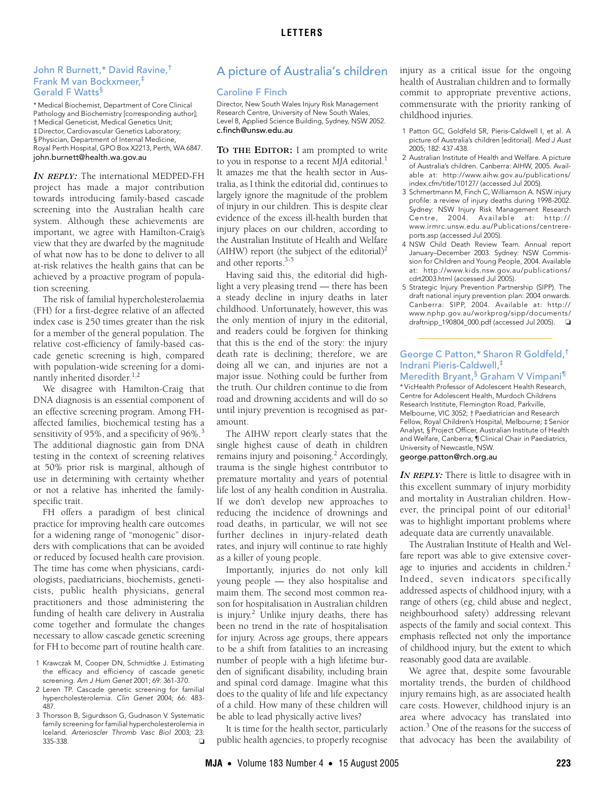### <span id="page-6-0"></span>John R Burnett,\* David Ravine,† Frank M van Bockxmeer,‡ Gerald F Watts§

\* Medical Biochemist, Department of Core Clinical Pathology and Biochemistry [corresponding author]; † Medical Geneticist, Medical Genetics Unit; ‡ Director, Cardiovascular Genetics Laboratory; § Physician, Department of Internal Medicine, Royal Perth Hospital, GPO Box X2213, Perth, WA 6847. john.burnett@health.wa.gov.au

*IN REPLY:* The international MEDPED-FH project has made a major contribution towards introducing family-based cascade screening into the Australian health care system. Although these achievements are important, we agree with Hamilton-Craig's view that they are dwarfed by the magnitude of what now has to be done to deliver to all at-risk relatives the health gains that can be achieved by a proactive program of population screening.

The risk of familial hypercholesterolaemia (FH) for a first-degree relative of an affected index case is 250 times greater than the risk for a member of the general population. The relative cost-efficiency of family-based cascade genetic screening is high, compared with population-wide screening for a domi-nantly inherited disorder.<sup>1[,2](#page-6-6)</sup>

We disagree with Hamilton-Craig that DNA diagnosis is an essential component of an effective screening program. Among FHaffected families, biochemical testing has a sensitivity of 95%, and a specificity of 96%.<sup>[3](#page-3-7)</sup> The additional diagnostic gain from DNA testing in the context of screening relatives at 50% prior risk is marginal, although of use in determining with certainty whether or not a relative has inherited the familyspecific trait.

FH offers a paradigm of best clinical practice for improving health care outcomes for a widening range of "monogenic" disorders with complications that can be avoided or reduced by focused health care provision. The time has come when physicians, cardiologists, paediatricians, biochemists, geneticists, public health physicians, general practitioners and those administering the funding of health care delivery in Australia come together and formulate the changes necessary to allow cascade genetic screening for FH to become part of routine health care.

- <span id="page-6-5"></span>1 Krawczak M, Cooper DN, Schmidtke J. Estimating the efficacy and efficiency of cascade genetic screening. Am J Hum Genet 2001; 69: 361-370.
- <span id="page-6-6"></span>2 Leren TP. Cascade genetic screening for familial hypercholesterolemia. Clin Genet 2004; 66: 483- 487.
- 3 Thorsson B, Sigurdsson G, Gudnason V. Systematic family screening for familial hypercholesterolemia in Iceland. Arterioscler Thromb Vasc Biol 2003; 23: 335-338. ❏

# A picture of Australia's children

#### Caroline F Finch

Director, New South Wales Injury Risk Management Research Centre, University of New South Wales, Level 8, Applied Science Building, Sydney, NSW 2052. c.finch@unsw.edu.au

**TO THE EDITOR:** I am prompted to write to you in response to a recent *MJA* editorial.<sup>[1](#page-6-1)</sup> It amazes me that the health sector in Australia, as I think the editorial did, continues to largely ignore the magnitude of the problem of injury in our children. This is despite clear evidence of the excess ill-health burden that injury places on our children, according to the Australian Institute of Health and Welfare (AIHW) report (the subject of the editorial)<sup>[2](#page-6-2)</sup> and other reports.[3](#page-6-3)[-5](#page-6-4)

Having said this, the editorial did highlight a very pleasing trend — there has been a steady decline in injury deaths in later childhood. Unfortunately, however, this was the only mention of injury in the editorial, and readers could be forgiven for thinking that this is the end of the story: the injury death rate is declining; therefore, we are doing all we can, and injuries are not a major issue. Nothing could be further from the truth. Our children continue to die from road and drowning accidents and will do so until injury prevention is recognised as paramount.

The AIHW report clearly states that the single highest cause of death in children remains injury and poisoning.<sup>2</sup> Accordingly, trauma is the single highest contributor to premature mortality and years of potential life lost of any health condition in Australia. If we don't develop new approaches to reducing the incidence of drownings and road deaths, in particular, we will not see further declines in injury-related death rates, and injury will continue to rate highly as a killer of young people.

Importantly, injuries do not only kill young people — they also hospitalise and maim them. The second most common reason for hospitalisation in Australian children is injury.<sup>2</sup> Unlike injury deaths, there has been no trend in the rate of hospitalisation for injury. Across age groups, there appears to be a shift from fatalities to an increasing number of people with a high lifetime burden of significant disability, including brain and spinal cord damage. Imagine what this does to the quality of life and life expectancy of a child. How many of these children will be able to lead physically active lives?

It is time for the health sector, particularly public health agencies, to properly recognise injury as a critical issue for the ongoing health of Australian children and to formally commit to appropriate preventive actions, commensurate with the priority ranking of childhood injuries.

- <span id="page-6-1"></span>1 Patton GC, Goldfeld SR, Pieris-Caldwell I, et al. A picture of Australia's children [editorial]. Med J Aust 2005; 182: 437-438.
- <span id="page-6-2"></span>2 Australian Institute of Health and Welfare. A picture of Australia's children. Canberra: AIHW, 2005. Available at: http://www.aihw.gov.au/publications/ index.cfm/title/10127/ (accessed Jul 2005).
- <span id="page-6-3"></span>3 Schmertmann M, Finch C, Williamson A. NSW injury profile: a review of injury deaths during 1998-2002. Sydney: NSW Injury Risk Management Research Centre, 2004. Available at: http:// www.irmrc.unsw.edu.au/Publications/centrereports.asp (accessed Jul 2005).
- 4 NSW Child Death Review Team. Annual report January–December 2003. Sydney: NSW Commission for Children and Young People, 2004. Available at: http://www.kids.nsw.gov.au/publications/ cdrt2003.html (accessed Jul 2005).
- <span id="page-6-4"></span>5 Strategic Injury Prevention Partnership (SIPP). The draft national injury prevention plan: 2004 onwards. Canberra: SIPP, 2004. Available at: http:// www.nphp.gov.au/workprog/sipp/documents/ draftnipp\_190804\_000.pdf (accessed Jul 2005). ❏

## George C Patton,\* Sharon R Goldfeld,† Indrani Pieris-Caldwell,‡

Meredith Bryant,§ Graham V Vimpani¶ \* VicHealth Professor of Adolescent Health Research, Centre for Adolescent Health, Murdoch Childrens Research Institute, Flemington Road, Parkville, Melbourne, VIC 3052; † Paediatrician and Research Fellow, Royal Children's Hospital, Melbourne; ‡ Senior Analyst, § Project Officer, Australian Institute of Health and Welfare, Canberra; ¶ Clinical Chair in Paediatrics, University of Newcastle, NSW.

george.patton@rch.org.au

*IN REPLY:* There is little to disagree with in this excellent summary of injury morbidity and mortality in Australian children. How-ever, the principal point of our editorial<sup>[1](#page-7-2)</sup> was to highlight important problems where adequate data are currently unavailable.

The Australian Institute of Health and Welfare report was able to give extensive cover-age to injuries and accidents in children.<sup>[2](#page-7-3)</sup> Indeed, seven indicators specifically addressed aspects of childhood injury, with a range of others (eg, child abuse and neglect, neighbourhood safety) addressing relevant aspects of the family and social context. This emphasis reflected not only the importance of childhood injury, but the extent to which reasonably good data are available.

We agree that, despite some favourable mortality trends, the burden of childhood injury remains high, as are associated health care costs. However, childhood injury is an area where advocacy has translated into action.[3](#page-7-4) One of the reasons for the success of that advocacy has been the availability of